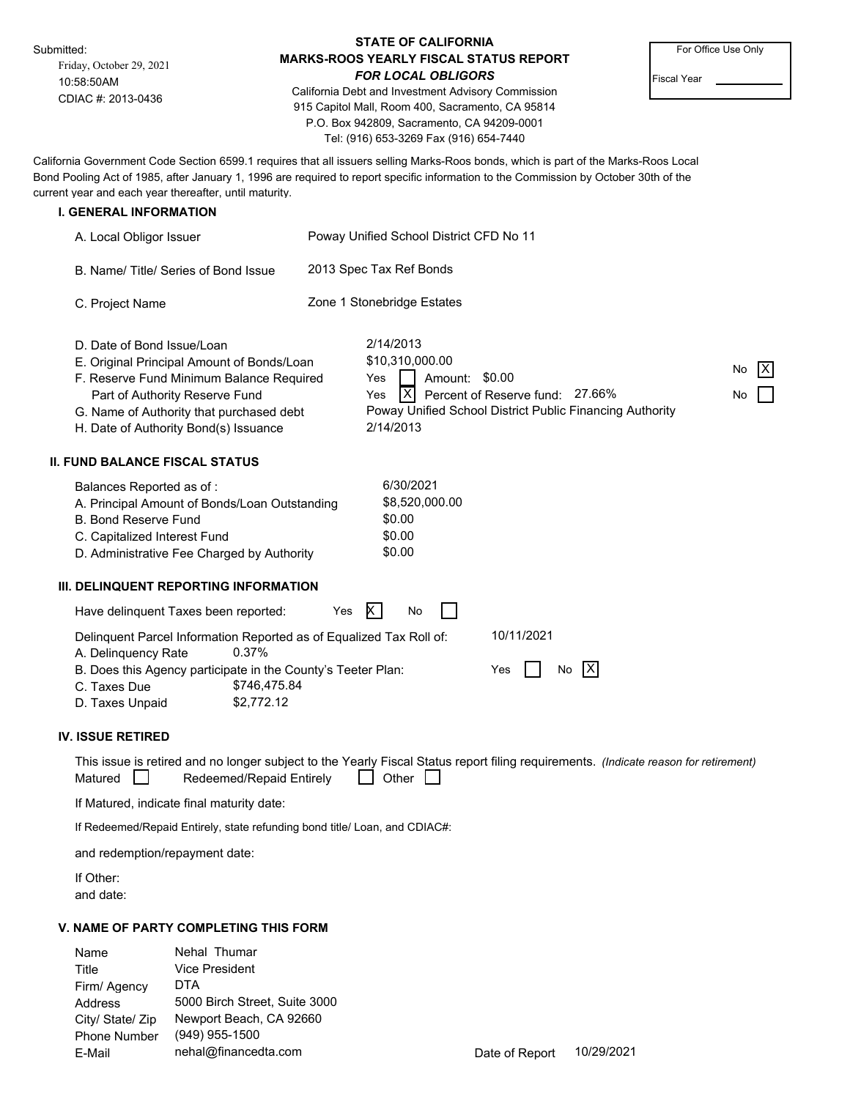Submitted:

Friday, October 29, 2021 10:58:50AM CDIAC #: 2013-0436

## **STATE OF CALIFORNIA MARKS-ROOS YEARLY FISCAL STATUS REPORT** *FOR LOCAL OBLIGORS*

California Debt and Investment Advisory Commission 915 Capitol Mall, Room 400, Sacramento, CA 95814 P.O. Box 942809, Sacramento, CA 94209-0001 Tel: (916) 653-3269 Fax (916) 654-7440

For Office Use Only

Fiscal Year

California Government Code Section 6599.1 requires that all issuers selling Marks-Roos bonds, which is part of the Marks-Roos Local Bond Pooling Act of 1985, after January 1, 1996 are required to report specific information to the Commission by October 30th of the current year and each year thereafter, until maturity.

### **I. GENERAL INFORMATION**

| A. Local Obligor Issuer                                                                                                                                                                                                                     | Poway Unified School District CFD No 11                                                                                                                                                               |  |  |  |  |  |
|---------------------------------------------------------------------------------------------------------------------------------------------------------------------------------------------------------------------------------------------|-------------------------------------------------------------------------------------------------------------------------------------------------------------------------------------------------------|--|--|--|--|--|
| B. Name/Title/Series of Bond Issue                                                                                                                                                                                                          | 2013 Spec Tax Ref Bonds                                                                                                                                                                               |  |  |  |  |  |
| C. Project Name                                                                                                                                                                                                                             | Zone 1 Stonebridge Estates                                                                                                                                                                            |  |  |  |  |  |
| D. Date of Bond Issue/Loan<br>E. Original Principal Amount of Bonds/Loan<br>F. Reserve Fund Minimum Balance Required<br>Part of Authority Reserve Fund<br>G. Name of Authority that purchased debt<br>H. Date of Authority Bond(s) Issuance | 2/14/2013<br>\$10,310,000.00<br>IXI<br>No<br>Amount:<br>\$0.00<br>Yes<br>IXI<br>Percent of Reserve fund: 27.66%<br>Yes<br>No<br>Poway Unified School District Public Financing Authority<br>2/14/2013 |  |  |  |  |  |
| <b>II. FUND BALANCE FISCAL STATUS</b>                                                                                                                                                                                                       |                                                                                                                                                                                                       |  |  |  |  |  |
| Balances Reported as of:<br>A. Principal Amount of Bonds/Loan Outstanding<br><b>B. Bond Reserve Fund</b><br>C. Capitalized Interest Fund<br>D. Administrative Fee Charged by Authority                                                      | 6/30/2021<br>\$8,520,000.00<br>\$0.00<br>\$0.00<br>\$0.00                                                                                                                                             |  |  |  |  |  |
| III. DELINQUENT REPORTING INFORMATION                                                                                                                                                                                                       |                                                                                                                                                                                                       |  |  |  |  |  |
| Have delinguent Taxes been reported:                                                                                                                                                                                                        | $\ltimes$<br>Yes<br>No                                                                                                                                                                                |  |  |  |  |  |
| Delinquent Parcel Information Reported as of Equalized Tax Roll of:<br>0.37%<br>A. Delinquency Rate<br>B. Does this Agency participate in the County's Teeter Plan:<br>C. Taxes Due<br>\$746,475.84<br>\$2,772.12<br>D. Taxes Unpaid        | 10/11/2021<br>[X]<br>Yes<br>No                                                                                                                                                                        |  |  |  |  |  |
| <b>IV. ISSUE RETIRED</b>                                                                                                                                                                                                                    |                                                                                                                                                                                                       |  |  |  |  |  |
|                                                                                                                                                                                                                                             |                                                                                                                                                                                                       |  |  |  |  |  |

|         | This issue is retired and no longer subject to the Yearly Fiscal Status report filing requirements. (Indicate reason for retirement) |              |  |  |
|---------|--------------------------------------------------------------------------------------------------------------------------------------|--------------|--|--|
| Matured | Redeemed/Repaid Entirely                                                                                                             | $\Box$ Other |  |  |

If Matured, indicate final maturity date:

If Redeemed/Repaid Entirely, state refunding bond title/ Loan, and CDIAC#:

and redemption/repayment date:

If Other: and date:

### **V. NAME OF PARTY COMPLETING THIS FORM**

Phone Number E-Mail City/ State/ Zip Address Firm/ Agency Title Name Nehal Thumar Vice President DTA 5000 Birch Street, Suite 3000 Newport Beach, CA 92660 (949) 955-1500 nehal@financedta.com Date of Report 10/29/2021